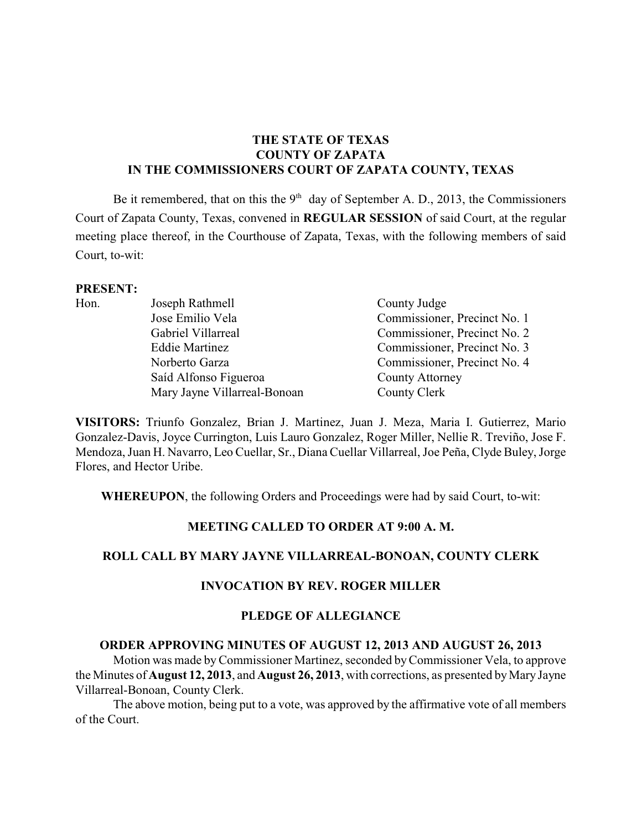# **THE STATE OF TEXAS COUNTY OF ZAPATA IN THE COMMISSIONERS COURT OF ZAPATA COUNTY, TEXAS**

Be it remembered, that on this the  $9<sup>th</sup>$  day of September A. D., 2013, the Commissioners Court of Zapata County, Texas, convened in **REGULAR SESSION** of said Court, at the regular meeting place thereof, in the Courthouse of Zapata, Texas, with the following members of said Court, to-wit:

## **PRESENT:**

| Hon. | Joseph Rathmell              | County Judge                 |
|------|------------------------------|------------------------------|
|      | Jose Emilio Vela             | Commissioner, Precinct No. 1 |
|      | Gabriel Villarreal           | Commissioner, Precinct No. 2 |
|      | <b>Eddie Martinez</b>        | Commissioner, Precinct No. 3 |
|      | Norberto Garza               | Commissioner, Precinct No. 4 |
|      | Saíd Alfonso Figueroa        | <b>County Attorney</b>       |
|      | Mary Jayne Villarreal-Bonoan | County Clerk                 |

**VISITORS:** Triunfo Gonzalez, Brian J. Martinez, Juan J. Meza, Maria I. Gutierrez, Mario Gonzalez-Davis, Joyce Currington, Luis Lauro Gonzalez, Roger Miller, Nellie R. Treviño, Jose F. Mendoza, Juan H. Navarro, Leo Cuellar, Sr., Diana Cuellar Villarreal,Joe Peña, Clyde Buley, Jorge Flores, and Hector Uribe.

**WHEREUPON**, the following Orders and Proceedings were had by said Court, to-wit:

## **MEETING CALLED TO ORDER AT 9:00 A. M.**

# **ROLL CALL BY MARY JAYNE VILLARREAL-BONOAN, COUNTY CLERK**

### **INVOCATION BY REV. ROGER MILLER**

### **PLEDGE OF ALLEGIANCE**

### **ORDER APPROVING MINUTES OF AUGUST 12, 2013 AND AUGUST 26, 2013**

Motion was made byCommissioner Martinez, seconded by Commissioner Vela, to approve the Minutes of **August 12, 2013**, and **August 26, 2013**, with corrections, as presented by Mary Jayne Villarreal-Bonoan, County Clerk.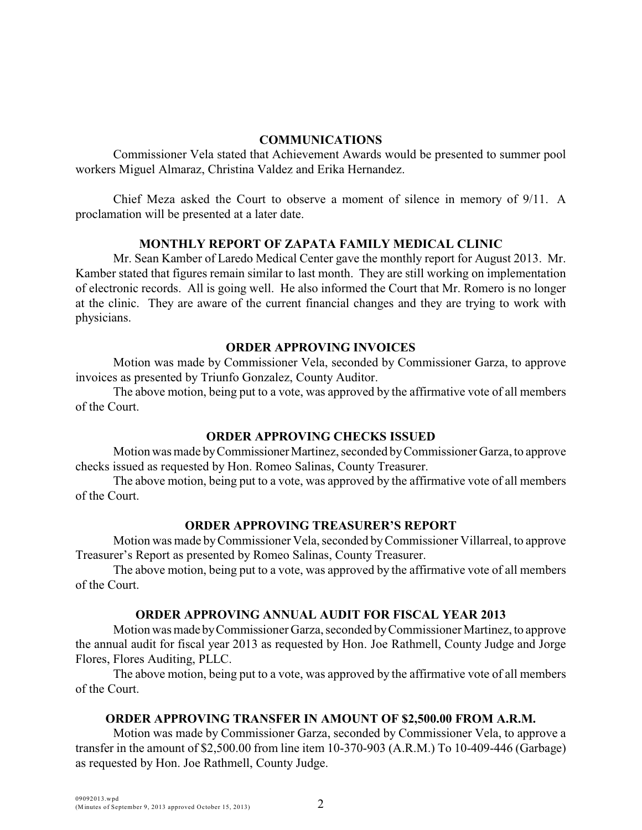#### **COMMUNICATIONS**

Commissioner Vela stated that Achievement Awards would be presented to summer pool workers Miguel Almaraz, Christina Valdez and Erika Hernandez.

Chief Meza asked the Court to observe a moment of silence in memory of 9/11. A proclamation will be presented at a later date.

### **MONTHLY REPORT OF ZAPATA FAMILY MEDICAL CLINIC**

Mr. Sean Kamber of Laredo Medical Center gave the monthly report for August 2013. Mr. Kamber stated that figures remain similar to last month. They are still working on implementation of electronic records. All is going well. He also informed the Court that Mr. Romero is no longer at the clinic. They are aware of the current financial changes and they are trying to work with physicians.

## **ORDER APPROVING INVOICES**

Motion was made by Commissioner Vela, seconded by Commissioner Garza, to approve invoices as presented by Triunfo Gonzalez, County Auditor.

The above motion, being put to a vote, was approved by the affirmative vote of all members of the Court.

### **ORDER APPROVING CHECKS ISSUED**

Motion was made by Commissioner Martinez, seconded by Commissioner Garza, to approve checks issued as requested by Hon. Romeo Salinas, County Treasurer.

The above motion, being put to a vote, was approved by the affirmative vote of all members of the Court.

### **ORDER APPROVING TREASURER'S REPORT**

Motion was made byCommissioner Vela, seconded by Commissioner Villarreal, to approve Treasurer's Report as presented by Romeo Salinas, County Treasurer.

The above motion, being put to a vote, was approved by the affirmative vote of all members of the Court.

### **ORDER APPROVING ANNUAL AUDIT FOR FISCAL YEAR 2013**

Motion was made by Commissioner Garza, seconded by Commissioner Martinez, to approve the annual audit for fiscal year 2013 as requested by Hon. Joe Rathmell, County Judge and Jorge Flores, Flores Auditing, PLLC.

The above motion, being put to a vote, was approved by the affirmative vote of all members of the Court.

# **ORDER APPROVING TRANSFER IN AMOUNT OF \$2,500.00 FROM A.R.M.**

Motion was made by Commissioner Garza, seconded by Commissioner Vela, to approve a transfer in the amount of \$2,500.00 from line item 10-370-903 (A.R.M.) To 10-409-446 (Garbage) as requested by Hon. Joe Rathmell, County Judge.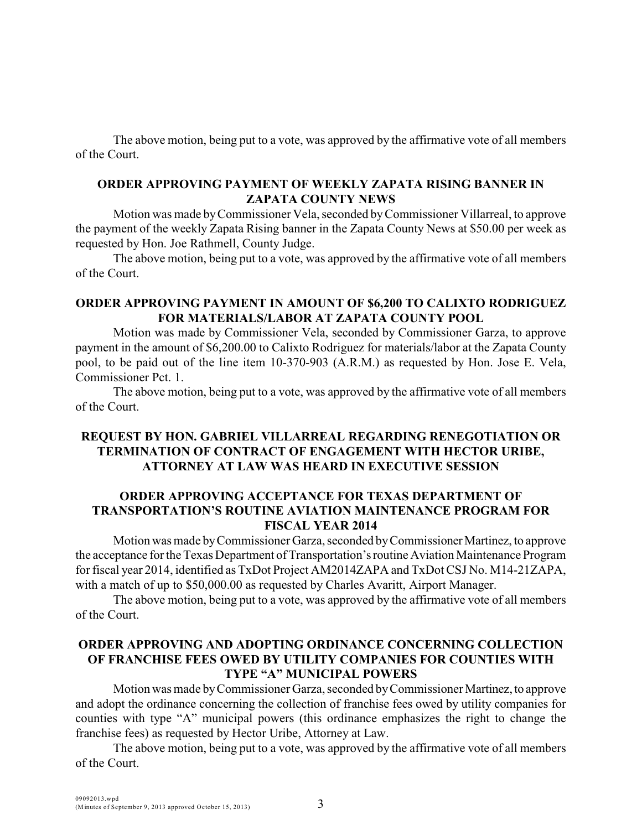The above motion, being put to a vote, was approved by the affirmative vote of all members of the Court.

# **ORDER APPROVING PAYMENT OF WEEKLY ZAPATA RISING BANNER IN ZAPATA COUNTY NEWS**

Motion was made byCommissioner Vela, seconded by Commissioner Villarreal, to approve the payment of the weekly Zapata Rising banner in the Zapata County News at \$50.00 per week as requested by Hon. Joe Rathmell, County Judge.

The above motion, being put to a vote, was approved by the affirmative vote of all members of the Court.

## **ORDER APPROVING PAYMENT IN AMOUNT OF \$6,200 TO CALIXTO RODRIGUEZ FOR MATERIALS/LABOR AT ZAPATA COUNTY POOL**

Motion was made by Commissioner Vela, seconded by Commissioner Garza, to approve payment in the amount of \$6,200.00 to Calixto Rodriguez for materials/labor at the Zapata County pool, to be paid out of the line item 10-370-903 (A.R.M.) as requested by Hon. Jose E. Vela, Commissioner Pct. 1.

The above motion, being put to a vote, was approved by the affirmative vote of all members of the Court.

# **REQUEST BY HON. GABRIEL VILLARREAL REGARDING RENEGOTIATION OR TERMINATION OF CONTRACT OF ENGAGEMENT WITH HECTOR URIBE, ATTORNEY AT LAW WAS HEARD IN EXECUTIVE SESSION**

# **ORDER APPROVING ACCEPTANCE FOR TEXAS DEPARTMENT OF TRANSPORTATION'S ROUTINE AVIATION MAINTENANCE PROGRAM FOR FISCAL YEAR 2014**

Motion was made by Commissioner Garza, seconded by Commissioner Martinez, to approve the acceptance for the Texas Department of Transportation's routine Aviation Maintenance Program for fiscal year 2014, identified as TxDot Project AM2014ZAPA and TxDot CSJ No. M14-21ZAPA, with a match of up to \$50,000.00 as requested by Charles Avaritt, Airport Manager.

The above motion, being put to a vote, was approved by the affirmative vote of all members of the Court.

## **ORDER APPROVING AND ADOPTING ORDINANCE CONCERNING COLLECTION OF FRANCHISE FEES OWED BY UTILITY COMPANIES FOR COUNTIES WITH TYPE "A" MUNICIPAL POWERS**

Motion was made by Commissioner Garza, seconded by Commissioner Martinez, to approve and adopt the ordinance concerning the collection of franchise fees owed by utility companies for counties with type "A" municipal powers (this ordinance emphasizes the right to change the franchise fees) as requested by Hector Uribe, Attorney at Law.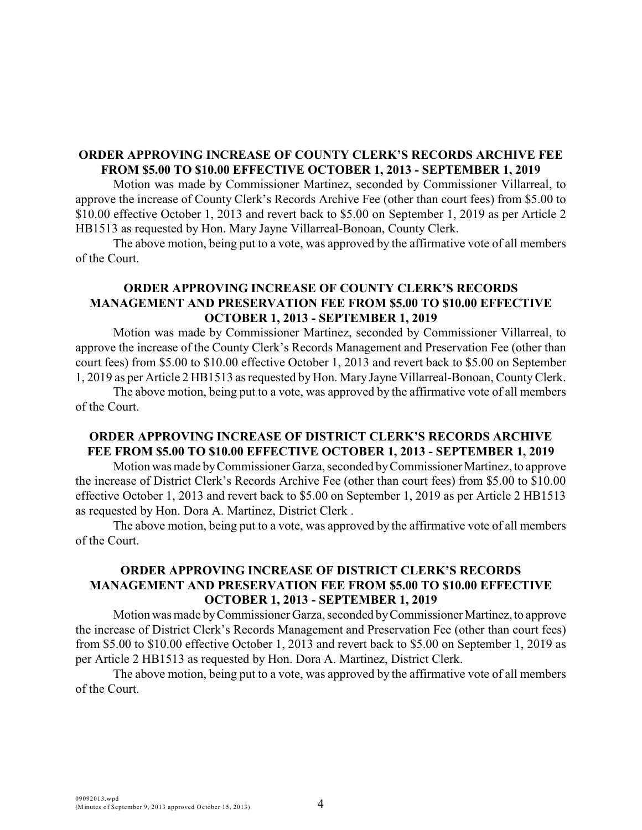# **ORDER APPROVING INCREASE OF COUNTY CLERK'S RECORDS ARCHIVE FEE FROM \$5.00 TO \$10.00 EFFECTIVE OCTOBER 1, 2013 - SEPTEMBER 1, 2019**

Motion was made by Commissioner Martinez, seconded by Commissioner Villarreal, to approve the increase of County Clerk's Records Archive Fee (other than court fees) from \$5.00 to \$10.00 effective October 1, 2013 and revert back to \$5.00 on September 1, 2019 as per Article 2 HB1513 as requested by Hon. Mary Jayne Villarreal-Bonoan, County Clerk.

The above motion, being put to a vote, was approved by the affirmative vote of all members of the Court.

# **ORDER APPROVING INCREASE OF COUNTY CLERK'S RECORDS MANAGEMENT AND PRESERVATION FEE FROM \$5.00 TO \$10.00 EFFECTIVE OCTOBER 1, 2013 - SEPTEMBER 1, 2019**

Motion was made by Commissioner Martinez, seconded by Commissioner Villarreal, to approve the increase of the County Clerk's Records Management and Preservation Fee (other than court fees) from \$5.00 to \$10.00 effective October 1, 2013 and revert back to \$5.00 on September 1, 2019 as per Article 2 HB1513 as requested by Hon. Mary Jayne Villarreal-Bonoan, County Clerk.

The above motion, being put to a vote, was approved by the affirmative vote of all members of the Court.

## **ORDER APPROVING INCREASE OF DISTRICT CLERK'S RECORDS ARCHIVE FEE FROM \$5.00 TO \$10.00 EFFECTIVE OCTOBER 1, 2013 - SEPTEMBER 1, 2019**

Motion was made by Commissioner Garza, seconded by Commissioner Martinez, to approve the increase of District Clerk's Records Archive Fee (other than court fees) from \$5.00 to \$10.00 effective October 1, 2013 and revert back to \$5.00 on September 1, 2019 as per Article 2 HB1513 as requested by Hon. Dora A. Martinez, District Clerk .

The above motion, being put to a vote, was approved by the affirmative vote of all members of the Court.

# **ORDER APPROVING INCREASE OF DISTRICT CLERK'S RECORDS MANAGEMENT AND PRESERVATION FEE FROM \$5.00 TO \$10.00 EFFECTIVE OCTOBER 1, 2013 - SEPTEMBER 1, 2019**

Motion was made by Commissioner Garza, seconded by Commissioner Martinez, to approve the increase of District Clerk's Records Management and Preservation Fee (other than court fees) from \$5.00 to \$10.00 effective October 1, 2013 and revert back to \$5.00 on September 1, 2019 as per Article 2 HB1513 as requested by Hon. Dora A. Martinez, District Clerk.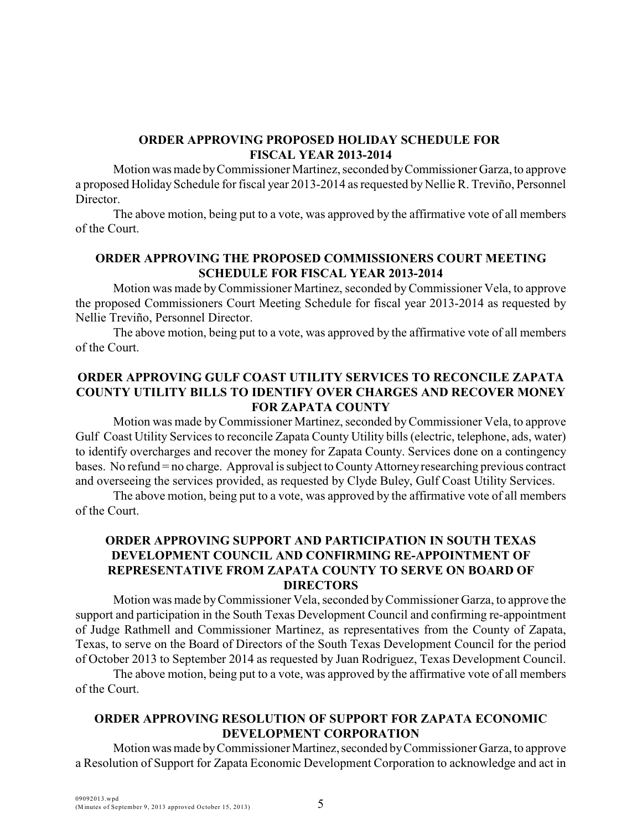# **ORDER APPROVING PROPOSED HOLIDAY SCHEDULE FOR FISCAL YEAR 2013-2014**

Motion was made by Commissioner Martinez, seconded by Commissioner Garza, to approve a proposed Holiday Schedule for fiscal year 2013-2014 as requested by Nellie R. Treviño, Personnel Director.

The above motion, being put to a vote, was approved by the affirmative vote of all members of the Court.

# **ORDER APPROVING THE PROPOSED COMMISSIONERS COURT MEETING SCHEDULE FOR FISCAL YEAR 2013-2014**

Motion was made by Commissioner Martinez, seconded byCommissioner Vela, to approve the proposed Commissioners Court Meeting Schedule for fiscal year 2013-2014 as requested by Nellie Treviño, Personnel Director.

The above motion, being put to a vote, was approved by the affirmative vote of all members of the Court.

# **ORDER APPROVING GULF COAST UTILITY SERVICES TO RECONCILE ZAPATA COUNTY UTILITY BILLS TO IDENTIFY OVER CHARGES AND RECOVER MONEY FOR ZAPATA COUNTY**

Motion was made by Commissioner Martinez, seconded byCommissioner Vela, to approve Gulf Coast Utility Services to reconcile Zapata County Utility bills (electric, telephone, ads, water) to identify overcharges and recover the money for Zapata County. Services done on a contingency bases. No refund = no charge. Approval is subject to County Attorney researching previous contract and overseeing the services provided, as requested by Clyde Buley, Gulf Coast Utility Services.

The above motion, being put to a vote, was approved by the affirmative vote of all members of the Court.

# **ORDER APPROVING SUPPORT AND PARTICIPATION IN SOUTH TEXAS DEVELOPMENT COUNCIL AND CONFIRMING RE-APPOINTMENT OF REPRESENTATIVE FROM ZAPATA COUNTY TO SERVE ON BOARD OF DIRECTORS**

Motion was made by Commissioner Vela, seconded by Commissioner Garza, to approve the support and participation in the South Texas Development Council and confirming re-appointment of Judge Rathmell and Commissioner Martinez, as representatives from the County of Zapata, Texas, to serve on the Board of Directors of the South Texas Development Council for the period of October 2013 to September 2014 as requested by Juan Rodriguez, Texas Development Council.

The above motion, being put to a vote, was approved by the affirmative vote of all members of the Court.

## **ORDER APPROVING RESOLUTION OF SUPPORT FOR ZAPATA ECONOMIC DEVELOPMENT CORPORATION**

Motion was made by Commissioner Martinez, seconded by Commissioner Garza, to approve a Resolution of Support for Zapata Economic Development Corporation to acknowledge and act in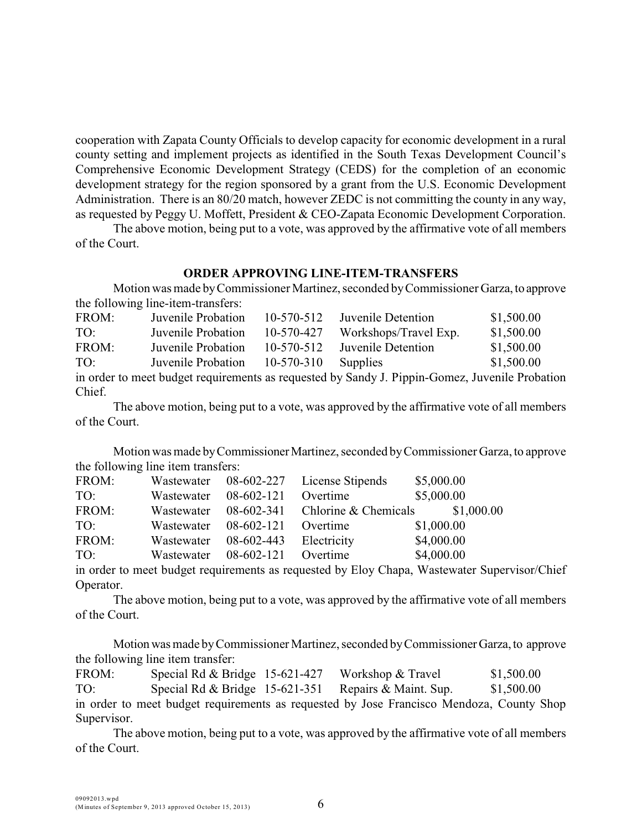cooperation with Zapata County Officials to develop capacity for economic development in a rural county setting and implement projects as identified in the South Texas Development Council's Comprehensive Economic Development Strategy (CEDS) for the completion of an economic development strategy for the region sponsored by a grant from the U.S. Economic Development Administration. There is an 80/20 match, however ZEDC is not committing the county in any way, as requested by Peggy U. Moffett, President & CEO-Zapata Economic Development Corporation.

The above motion, being put to a vote, was approved by the affirmative vote of all members of the Court.

### **ORDER APPROVING LINE-ITEM-TRANSFERS**

Motion was made by Commissioner Martinez, seconded by Commissioner Garza, to approve the following line-item-transfers:

| FROM: | Juvenile Probation | $10-570-512$     | Juvenile Detention                                                                          | \$1,500.00 |
|-------|--------------------|------------------|---------------------------------------------------------------------------------------------|------------|
| TO:   | Juvenile Probation | 10-570-427       | Workshops/Travel Exp.                                                                       | \$1,500.00 |
| FROM: | Juvenile Probation | $10-570-512$     | Juvenile Detention                                                                          | \$1,500.00 |
| TO:   | Juvenile Probation | $10 - 570 - 310$ | Supplies                                                                                    | \$1,500.00 |
|       |                    |                  | in order to meet budget requirements as requested by Sandy J. Pippin-Gomez. Juvenile Probat |            |

as requested by Sandy J. Pippin-Gomez, Juvenile Probation Chief.

The above motion, being put to a vote, was approved by the affirmative vote of all members of the Court.

Motion was made by Commissioner Martinez, seconded by Commissioner Garza, to approve the following line item transfers:

| FROM: | Wastewater |              | 08-602-227 License Stipends       | \$5,000.00 |
|-------|------------|--------------|-----------------------------------|------------|
| TO:   | Wastewater | 08-602-121   | Overtime                          | \$5,000.00 |
| FROM: | Wastewater |              | $08-602-341$ Chlorine & Chemicals | \$1,000.00 |
| TO:   | Wastewater | $08-602-121$ | Overtime                          | \$1,000.00 |
| FROM: | Wastewater | 08-602-443   | Electricity                       | \$4,000.00 |
| TO:   | Wastewater | $08-602-121$ | Overtime                          | \$4,000.00 |

in order to meet budget requirements as requested by Eloy Chapa, Wastewater Supervisor/Chief Operator.

The above motion, being put to a vote, was approved by the affirmative vote of all members of the Court.

Motion was made by Commissioner Martinez, seconded by Commissioner Garza, to approve the following line item transfer:

FROM: Special Rd & Bridge 15-621-427 Workshop & Travel \$1,500.00 TO: Special Rd & Bridge 15-621-351 Repairs & Maint. Sup. \$1,500.00 in order to meet budget requirements as requested by Jose Francisco Mendoza, County Shop Supervisor.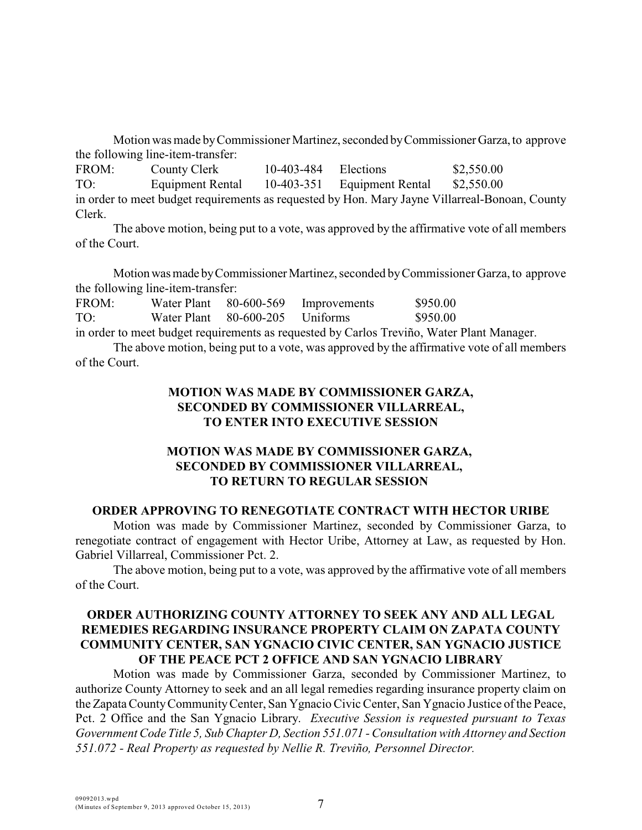Motion was made by Commissioner Martinez, seconded by Commissioner Garza, to approve the following line-item-transfer:

FROM: County Clerk 10-403-484 Elections \$2,550.00 TO: Equipment Rental 10-403-351 Equipment Rental \$2,550.00 in order to meet budget requirements as requested by Hon. Mary Jayne Villarreal-Bonoan, County Clerk.

The above motion, being put to a vote, was approved by the affirmative vote of all members of the Court.

Motion was made by Commissioner Martinez, seconded by Commissioner Garza, to approve the following line-item-transfer:

FROM: Water Plant 80-600-569 Improvements \$950.00 TO: Water Plant 80-600-205 Uniforms \$950.00 in order to meet budget requirements as requested by Carlos Treviño, Water Plant Manager.

The above motion, being put to a vote, was approved by the affirmative vote of all members of the Court.

# **MOTION WAS MADE BY COMMISSIONER GARZA, SECONDED BY COMMISSIONER VILLARREAL, TO ENTER INTO EXECUTIVE SESSION**

# **MOTION WAS MADE BY COMMISSIONER GARZA, SECONDED BY COMMISSIONER VILLARREAL, TO RETURN TO REGULAR SESSION**

### **ORDER APPROVING TO RENEGOTIATE CONTRACT WITH HECTOR URIBE**

Motion was made by Commissioner Martinez, seconded by Commissioner Garza, to renegotiate contract of engagement with Hector Uribe, Attorney at Law, as requested by Hon. Gabriel Villarreal, Commissioner Pct. 2.

The above motion, being put to a vote, was approved by the affirmative vote of all members of the Court.

# **ORDER AUTHORIZING COUNTY ATTORNEY TO SEEK ANY AND ALL LEGAL REMEDIES REGARDING INSURANCE PROPERTY CLAIM ON ZAPATA COUNTY COMMUNITY CENTER, SAN YGNACIO CIVIC CENTER, SAN YGNACIO JUSTICE OF THE PEACE PCT 2 OFFICE AND SAN YGNACIO LIBRARY**

Motion was made by Commissioner Garza, seconded by Commissioner Martinez, to authorize County Attorney to seek and an all legal remedies regarding insurance property claim on the Zapata County Community Center, San Ygnacio Civic Center, San Ygnacio Justice of the Peace, Pct. 2 Office and the San Ygnacio Library. *Executive Session is requested pursuant to Texas Government Code Title 5, Sub Chapter D, Section 551.071 - Consultation with Attorney and Section 551.072 - Real Property as requested by Nellie R. Treviño, Personnel Director.*